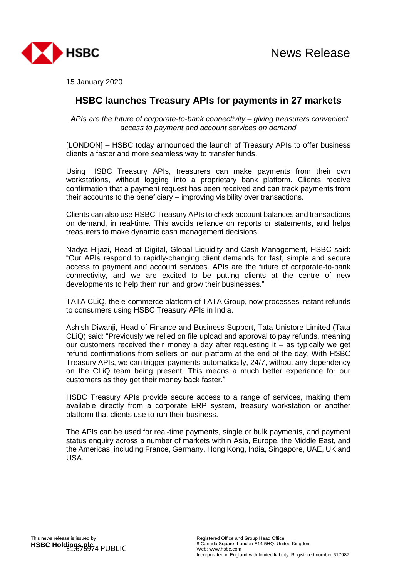



15 January 2020

## **HSBC launches Treasury APIs for payments in 27 markets**

*APIs are the future of corporate-to-bank connectivity – giving treasurers convenient access to payment and account services on demand*

[LONDON] – HSBC today announced the launch of Treasury APIs to offer business clients a faster and more seamless way to transfer funds.

Using HSBC Treasury APIs, treasurers can make payments from their own workstations, without logging into a proprietary bank platform. Clients receive confirmation that a payment request has been received and can track payments from their accounts to the beneficiary – improving visibility over transactions.

Clients can also use HSBC Treasury APIs to check account balances and transactions on demand, in real-time. This avoids reliance on reports or statements, and helps treasurers to make dynamic cash management decisions.

Nadya Hijazi, Head of Digital, Global Liquidity and Cash Management, HSBC said: "Our APIs respond to rapidly-changing client demands for fast, simple and secure access to payment and account services. APIs are the future of corporate-to-bank connectivity, and we are excited to be putting clients at the centre of new developments to help them run and grow their businesses."

TATA CLiQ, the e-commerce platform of TATA Group, now processes instant refunds to consumers using HSBC Treasury APIs in India.

Ashish Diwanji, Head of Finance and Business Support, Tata Unistore Limited (Tata CLiQ) said: "Previously we relied on file upload and approval to pay refunds, meaning our customers received their money a day after requesting it – as typically we get refund confirmations from sellers on our platform at the end of the day. With HSBC Treasury APIs, we can trigger payments automatically, 24/7, without any dependency on the CLiQ team being present. This means a much better experience for our customers as they get their money back faster."

HSBC Treasury APIs provide secure access to a range of services, making them available directly from a corporate ERP system, treasury workstation or another platform that clients use to run their business.

The APIs can be used for real-time payments, single or bulk payments, and payment status enquiry across a number of markets within Asia, Europe, the Middle East, and the Americas, including France, Germany, Hong Kong, India, Singapore, UAE, UK and USA.